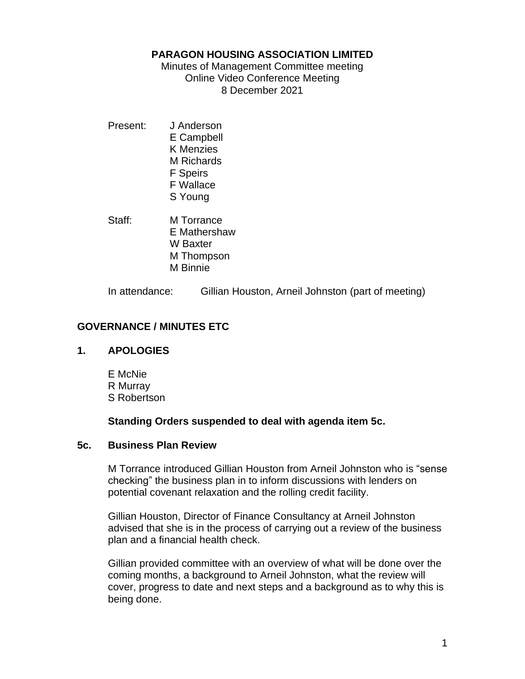#### **PARAGON HOUSING ASSOCIATION LIMITED**

Minutes of Management Committee meeting Online Video Conference Meeting 8 December 2021

- Present: J Anderson E Campbell K Menzies M Richards F Speirs F Wallace S Young
- Staff: M Torrance E Mathershaw W Baxter M Thompson M Binnie

In attendance: Gillian Houston, Arneil Johnston (part of meeting)

## **GOVERNANCE / MINUTES ETC**

### **1. APOLOGIES**

E McNie R Murray S Robertson

#### **Standing Orders suspended to deal with agenda item 5c.**

#### **5c. Business Plan Review**

M Torrance introduced Gillian Houston from Arneil Johnston who is "sense checking" the business plan in to inform discussions with lenders on potential covenant relaxation and the rolling credit facility.

Gillian Houston, Director of Finance Consultancy at Arneil Johnston advised that she is in the process of carrying out a review of the business plan and a financial health check.

Gillian provided committee with an overview of what will be done over the coming months, a background to Arneil Johnston, what the review will cover, progress to date and next steps and a background as to why this is being done.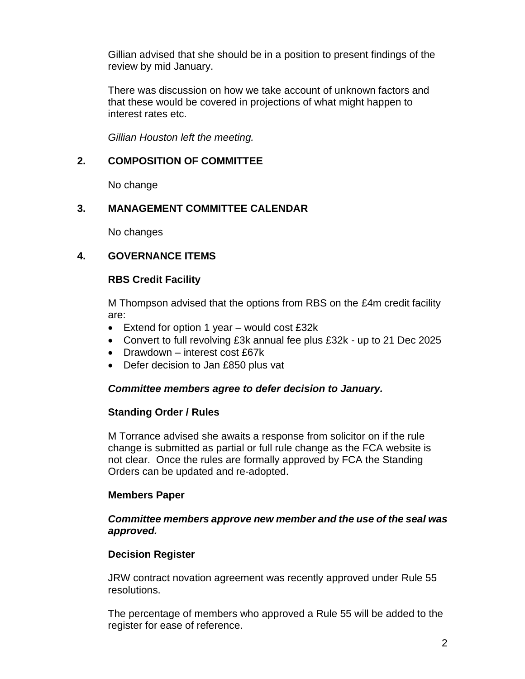Gillian advised that she should be in a position to present findings of the review by mid January.

There was discussion on how we take account of unknown factors and that these would be covered in projections of what might happen to interest rates etc.

*Gillian Houston left the meeting.*

# **2. COMPOSITION OF COMMITTEE**

No change

# **3. MANAGEMENT COMMITTEE CALENDAR**

No changes

# **4. GOVERNANCE ITEMS**

## **RBS Credit Facility**

M Thompson advised that the options from RBS on the £4m credit facility are:

- Extend for option 1 year would cost £32k
- Convert to full revolving £3k annual fee plus £32k up to 21 Dec 2025
- Drawdown interest cost £67k
- Defer decision to Jan £850 plus vat

# *Committee members agree to defer decision to January.*

### **Standing Order / Rules**

M Torrance advised she awaits a response from solicitor on if the rule change is submitted as partial or full rule change as the FCA website is not clear. Once the rules are formally approved by FCA the Standing Orders can be updated and re-adopted.

### **Members Paper**

### *Committee members approve new member and the use of the seal was approved.*

# **Decision Register**

JRW contract novation agreement was recently approved under Rule 55 resolutions.

The percentage of members who approved a Rule 55 will be added to the register for ease of reference.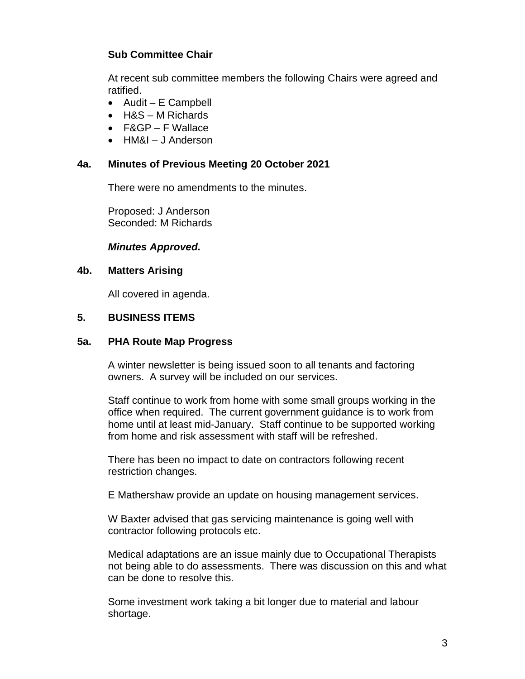# **Sub Committee Chair**

At recent sub committee members the following Chairs were agreed and ratified.

- Audit E Campbell
- H&S M Richards
- F&GP F Wallace
- HM&I J Anderson

## **4a. Minutes of Previous Meeting 20 October 2021**

There were no amendments to the minutes.

Proposed: J Anderson Seconded: M Richards

### *Minutes Approved.*

### **4b. Matters Arising**

All covered in agenda.

### **5. BUSINESS ITEMS**

### **5a. PHA Route Map Progress**

A winter newsletter is being issued soon to all tenants and factoring owners. A survey will be included on our services.

Staff continue to work from home with some small groups working in the office when required. The current government guidance is to work from home until at least mid-January. Staff continue to be supported working from home and risk assessment with staff will be refreshed.

There has been no impact to date on contractors following recent restriction changes.

E Mathershaw provide an update on housing management services.

W Baxter advised that gas servicing maintenance is going well with contractor following protocols etc.

Medical adaptations are an issue mainly due to Occupational Therapists not being able to do assessments. There was discussion on this and what can be done to resolve this.

Some investment work taking a bit longer due to material and labour shortage.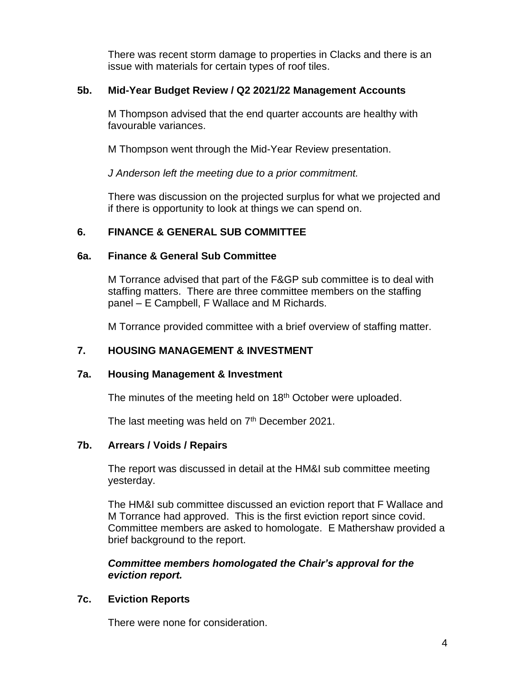There was recent storm damage to properties in Clacks and there is an issue with materials for certain types of roof tiles.

### **5b. Mid-Year Budget Review / Q2 2021/22 Management Accounts**

M Thompson advised that the end quarter accounts are healthy with favourable variances.

M Thompson went through the Mid-Year Review presentation.

*J Anderson left the meeting due to a prior commitment.*

There was discussion on the projected surplus for what we projected and if there is opportunity to look at things we can spend on.

# **6. FINANCE & GENERAL SUB COMMITTEE**

# **6a. Finance & General Sub Committee**

M Torrance advised that part of the F&GP sub committee is to deal with staffing matters. There are three committee members on the staffing panel – E Campbell, F Wallace and M Richards.

M Torrance provided committee with a brief overview of staffing matter.

# **7. HOUSING MANAGEMENT & INVESTMENT**

# **7a. Housing Management & Investment**

The minutes of the meeting held on 18<sup>th</sup> October were uploaded.

The last meeting was held on  $7<sup>th</sup>$  December 2021.

# **7b. Arrears / Voids / Repairs**

The report was discussed in detail at the HM&I sub committee meeting yesterday.

The HM&I sub committee discussed an eviction report that F Wallace and M Torrance had approved. This is the first eviction report since covid. Committee members are asked to homologate. E Mathershaw provided a brief background to the report.

*Committee members homologated the Chair's approval for the eviction report.*

# **7c. Eviction Reports**

There were none for consideration.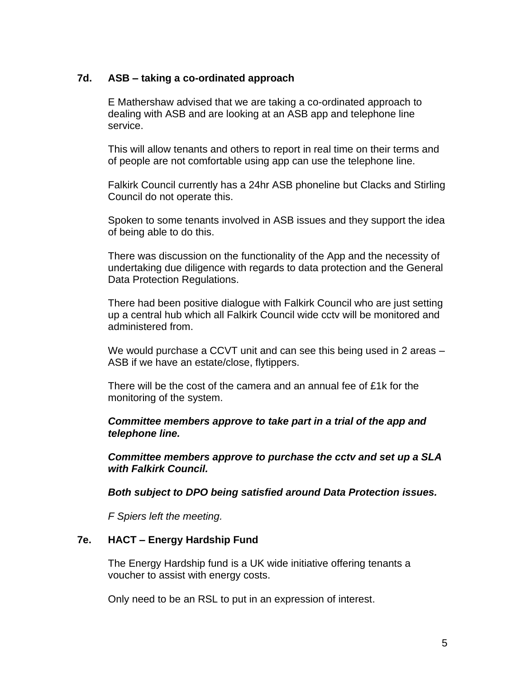### **7d. ASB – taking a co-ordinated approach**

E Mathershaw advised that we are taking a co-ordinated approach to dealing with ASB and are looking at an ASB app and telephone line service.

This will allow tenants and others to report in real time on their terms and of people are not comfortable using app can use the telephone line.

Falkirk Council currently has a 24hr ASB phoneline but Clacks and Stirling Council do not operate this.

Spoken to some tenants involved in ASB issues and they support the idea of being able to do this.

There was discussion on the functionality of the App and the necessity of undertaking due diligence with regards to data protection and the General Data Protection Regulations.

There had been positive dialogue with Falkirk Council who are just setting up a central hub which all Falkirk Council wide cctv will be monitored and administered from.

We would purchase a CCVT unit and can see this being used in 2 areas – ASB if we have an estate/close, flytippers.

There will be the cost of the camera and an annual fee of £1k for the monitoring of the system.

*Committee members approve to take part in a trial of the app and telephone line.*

*Committee members approve to purchase the cctv and set up a SLA with Falkirk Council.*

*Both subject to DPO being satisfied around Data Protection issues.*

*F Spiers left the meeting.*

### **7e. HACT – Energy Hardship Fund**

The Energy Hardship fund is a UK wide initiative offering tenants a voucher to assist with energy costs.

Only need to be an RSL to put in an expression of interest.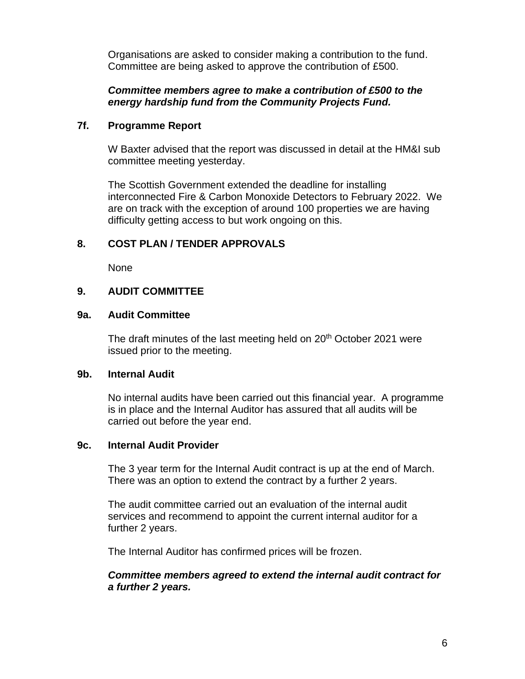Organisations are asked to consider making a contribution to the fund. Committee are being asked to approve the contribution of £500.

### *Committee members agree to make a contribution of £500 to the energy hardship fund from the Community Projects Fund.*

### **7f. Programme Report**

W Baxter advised that the report was discussed in detail at the HM&I sub committee meeting yesterday.

The Scottish Government extended the deadline for installing interconnected Fire & Carbon Monoxide Detectors to February 2022. We are on track with the exception of around 100 properties we are having difficulty getting access to but work ongoing on this.

### **8. COST PLAN / TENDER APPROVALS**

None

## **9. AUDIT COMMITTEE**

#### **9a. Audit Committee**

The draft minutes of the last meeting held on 20<sup>th</sup> October 2021 were issued prior to the meeting.

### **9b. Internal Audit**

No internal audits have been carried out this financial year. A programme is in place and the Internal Auditor has assured that all audits will be carried out before the year end.

### **9c. Internal Audit Provider**

The 3 year term for the Internal Audit contract is up at the end of March. There was an option to extend the contract by a further 2 years.

The audit committee carried out an evaluation of the internal audit services and recommend to appoint the current internal auditor for a further 2 years.

The Internal Auditor has confirmed prices will be frozen.

### *Committee members agreed to extend the internal audit contract for a further 2 years.*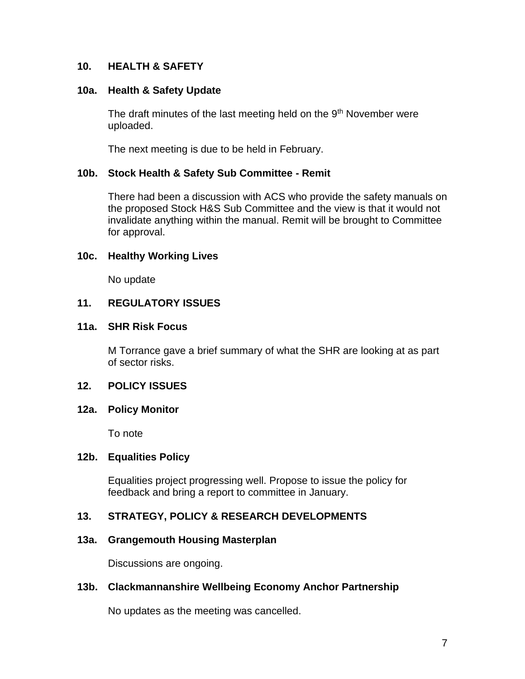### **10. HEALTH & SAFETY**

#### **10a. Health & Safety Update**

The draft minutes of the last meeting held on the 9<sup>th</sup> November were uploaded.

The next meeting is due to be held in February.

#### **10b. Stock Health & Safety Sub Committee - Remit**

There had been a discussion with ACS who provide the safety manuals on the proposed Stock H&S Sub Committee and the view is that it would not invalidate anything within the manual. Remit will be brought to Committee for approval.

#### **10c. Healthy Working Lives**

No update

### **11. REGULATORY ISSUES**

#### **11a. SHR Risk Focus**

M Torrance gave a brief summary of what the SHR are looking at as part of sector risks.

### **12. POLICY ISSUES**

#### **12a. Policy Monitor**

To note

## **12b. Equalities Policy**

Equalities project progressing well. Propose to issue the policy for feedback and bring a report to committee in January.

## **13. STRATEGY, POLICY & RESEARCH DEVELOPMENTS**

### **13a. Grangemouth Housing Masterplan**

Discussions are ongoing.

### **13b. Clackmannanshire Wellbeing Economy Anchor Partnership**

No updates as the meeting was cancelled.